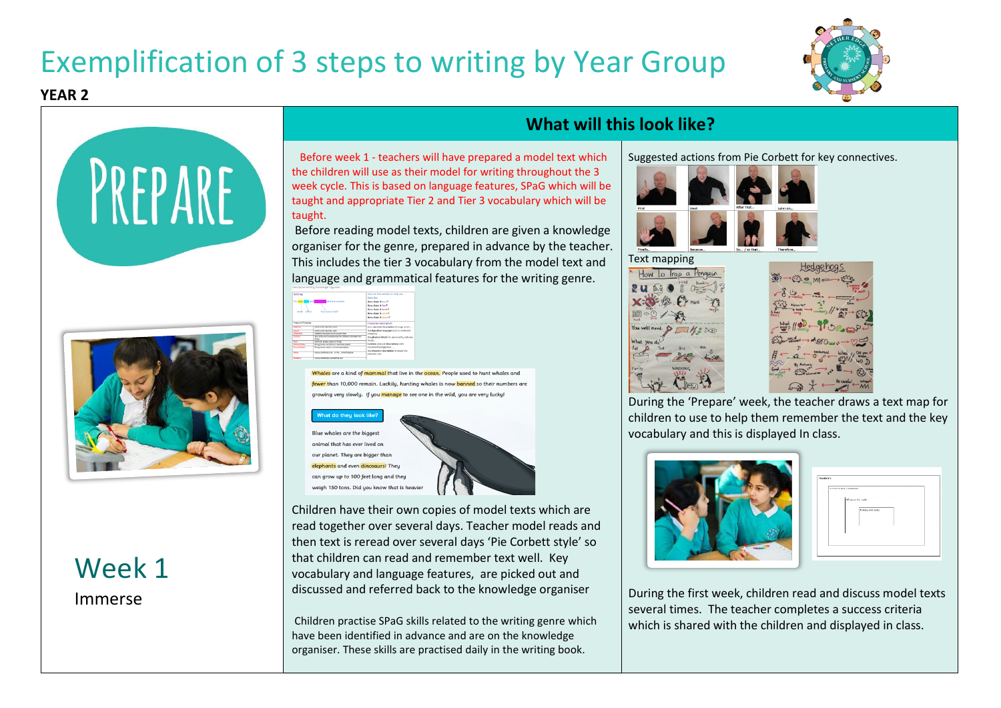## Exemplification of 3 steps to writing by Year Group





**YEAR 2**



## Week 1 Immerse

#### **What will this look like?**

 Before week 1 - teachers will have prepared a model text which the children will use as their model for writing throughout the 3 week cycle. This is based on language features, SPaG which will be taught and appropriate Tier 2 and Tier 3 vocabulary which will be taught.

Before reading model texts, children are given a knowledge organiser for the genre, prepared in advance by the teacher. This includes the tier 3 vocabulary from the model text and language and grammatical features for the writing genre.

| Setting                                                                |                                                                             | Use the five senses to help you                            |  |  |
|------------------------------------------------------------------------|-----------------------------------------------------------------------------|------------------------------------------------------------|--|--|
|                                                                        |                                                                             | describe.                                                  |  |  |
| The lime place and a rooming of a test's events.                       |                                                                             | How does it look?                                          |  |  |
|                                                                        |                                                                             | How does it feel?                                          |  |  |
|                                                                        |                                                                             | How does it taste?                                         |  |  |
| hour does it feel?<br>and when                                         |                                                                             | How does it small?                                         |  |  |
|                                                                        |                                                                             | How does it sound?                                         |  |  |
| maps's and language                                                    |                                                                             | Character description                                      |  |  |
| <b>Martin</b>                                                          | work with Auction course                                                    | Give character description through action                  |  |  |
| <b>Affairs</b>                                                         | work with Austing vehi-                                                     | Use flavorables language such as simile and                |  |  |
| <b>All Paradise</b>                                                    | reseating the rame sound square! Kings-                                     | metaphor                                                   |  |  |
| <b>Edinburg</b>                                                        | deal-littler ablifs emphasizes the difference between her-<br><b>Evides</b> | Use advoked details for aersonality, not only<br>where the |  |  |
| <b>Armed</b><br>ponts for earnig planes or things                      |                                                                             |                                                            |  |  |
| <b>Fallenia Tallace</b><br>Elvine human am plices to inanimala plancia |                                                                             | Combine obvoical descriptions with                         |  |  |
| <b>Terrantistication</b>                                               | Clying human artists to insnimate shipmin                                   | movement and gesture                                       |  |  |
| <b>Time</b>                                                            | laung constitute as  or like according else                                 | the character description to receal the<br>observer, too.  |  |  |
|                                                                        |                                                                             |                                                            |  |  |

Whales are a kind of mammal that live in the ocean. People used to hunt whales and fewer than 10,000 remain. Luckily, hunting whales is now banned so their numbers are ery slowly. If you <mark>manage</mark> to see one in the wild, you are very lucky!

les are the higgest that has ever lived on et. They are bigger than and even dinosaurs! They can grow up to 100 feet long and they weigh 150 tons. Did you know that is heavie



Children have their own copies of model texts which are read together over several days. Teacher model reads and then text is reread over several days 'Pie Corbett style' so that children can read and remember text well. Key vocabulary and language features, are picked out and discussed and referred back to the knowledge organiser

Children practise SPaG skills related to the writing genre which have been identified in advance and are on the knowledge organiser. These skills are practised daily in the writing book.

#### Suggested actions from Pie Corbett for key connectives.





During the 'Prepare' week, the teacher draws a text map for children to use to help them remember the text and the key vocabulary and this is displayed In class.



| Survey Others / Insertimes<br>filled and or code |                    |  |
|--------------------------------------------------|--------------------|--|
|                                                  | Pursuan and reader |  |
|                                                  |                    |  |

During the first week, children read and discuss model texts several times. The teacher completes a success criteria which is shared with the children and displayed in class.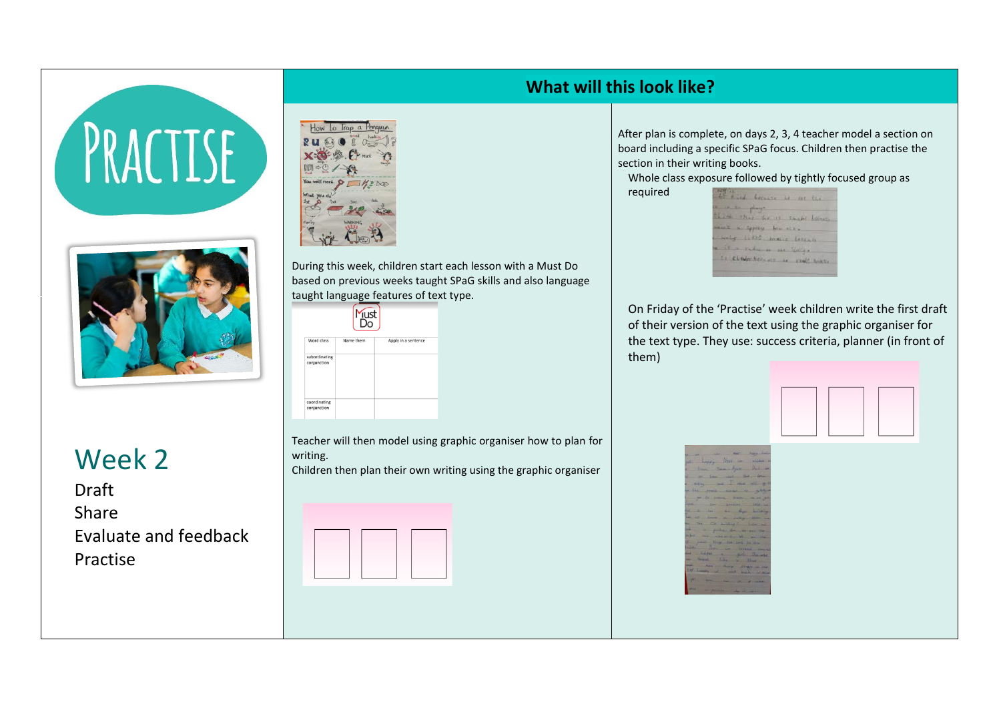# PRACTISE



Week 2

Draft Share Evaluate and feedback Practise



During this week, children start each lesson with a Must Do based on previous weeks taught SPaG skills and also language taught language features of text type.

|                              | Just      |                     |
|------------------------------|-----------|---------------------|
| Word class                   | Name them | Apply in a sentence |
| subordinating<br>conjunction |           |                     |
| coordinating<br>conjunction  |           |                     |

Teacher will then model using graphic organiser how to plan for writing. Children then plan their own writing using the graphic organiser



#### **What will this look like?**

After plan is complete, on days 2, 3, 4 teacher model a section on board including a specific SPaG focus. Children then practise the section in their writing books.

Whole class exposure followed by tightly focused group as required

|  |                             | comments player.<br>El voir clear the 13 comme heroire. |  |
|--|-----------------------------|---------------------------------------------------------|--|
|  | went in specify him office. |                                                         |  |
|  |                             | simily little house because                             |  |

On Friday of the 'Practise' week children write the first draft of their version of the text using the graphic organiser for the text type. They use: success criteria, planner (in front of them)

|                                                                                                                                                                                                                                                                                                                                                                                                                                    |  | the most has been |
|------------------------------------------------------------------------------------------------------------------------------------------------------------------------------------------------------------------------------------------------------------------------------------------------------------------------------------------------------------------------------------------------------------------------------------|--|-------------------|
| hoppy Next - exper                                                                                                                                                                                                                                                                                                                                                                                                                 |  |                   |
| live summit Apres that is                                                                                                                                                                                                                                                                                                                                                                                                          |  |                   |
| on the said the de-                                                                                                                                                                                                                                                                                                                                                                                                                |  |                   |
| $\begin{array}{lllllllllll} \multicolumn{3}{l}{{\bf 1}} & \multicolumn{3}{l}{{\bf 1}} & \multicolumn{3}{l}{{\bf 1}} & \multicolumn{3}{l}{{\bf 1}} & \multicolumn{3}{l}{{\bf 1}} & \multicolumn{3}{l}{{\bf 1}} & \multicolumn{3}{l}{{\bf 1}} & \multicolumn{3}{l}{{\bf 1}} & \multicolumn{3}{l}{{\bf 1}} & \multicolumn{3}{l}{{\bf 1}} & \multicolumn{3}{l}{{\bf 1}} & \multicolumn{3}{l}{{\bf 1}} & \multicolumn{3}{l}{{\bf 1}} &$ |  |                   |
|                                                                                                                                                                                                                                                                                                                                                                                                                                    |  |                   |
| y de man son any                                                                                                                                                                                                                                                                                                                                                                                                                   |  |                   |
|                                                                                                                                                                                                                                                                                                                                                                                                                                    |  |                   |
|                                                                                                                                                                                                                                                                                                                                                                                                                                    |  |                   |
|                                                                                                                                                                                                                                                                                                                                                                                                                                    |  |                   |
|                                                                                                                                                                                                                                                                                                                                                                                                                                    |  |                   |
|                                                                                                                                                                                                                                                                                                                                                                                                                                    |  |                   |
|                                                                                                                                                                                                                                                                                                                                                                                                                                    |  |                   |
|                                                                                                                                                                                                                                                                                                                                                                                                                                    |  |                   |
|                                                                                                                                                                                                                                                                                                                                                                                                                                    |  |                   |
|                                                                                                                                                                                                                                                                                                                                                                                                                                    |  |                   |
| pri ser sa pri prima                                                                                                                                                                                                                                                                                                                                                                                                               |  |                   |
|                                                                                                                                                                                                                                                                                                                                                                                                                                    |  |                   |